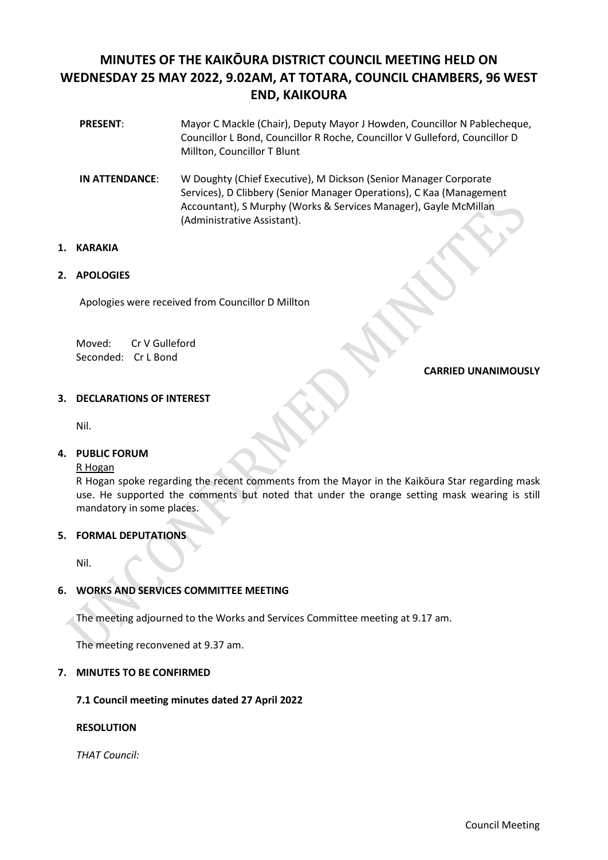# **MINUTES OF THE KAIKŌURA DISTRICT COUNCIL MEETING HELD ON WEDNESDAY 25 MAY 2022, 9.02AM, AT TOTARA, COUNCIL CHAMBERS, 96 WEST END, KAIKOURA**

- **PRESENT**: Mayor C Mackle (Chair), Deputy Mayor J Howden, Councillor N Pablecheque, Councillor L Bond, Councillor R Roche, Councillor V Gulleford, Councillor D Millton, Councillor T Blunt
- **IN ATTENDANCE**: W Doughty (Chief Executive), M Dickson (Senior Manager Corporate Services), D Clibbery (Senior Manager Operations), C Kaa (Management Accountant), S Murphy (Works & Services Manager), Gayle McMillan (Administrative Assistant).

# **1. KARAKIA**

# **2. APOLOGIES**

Apologies were received from Councillor D Millton

Moved: Cr V Gulleford Seconded: Cr L Bond

# **CARRIED UNANIMOUSLY**

# **3. DECLARATIONS OF INTEREST**

Nil.

# **4. PUBLIC FORUM**

R Hogan

R Hogan spoke regarding the recent comments from the Mayor in the Kaikōura Star regarding mask use. He supported the comments but noted that under the orange setting mask wearing is still mandatory in some places.

# **5. FORMAL DEPUTATIONS**

Nil.

# **6. WORKS AND SERVICES COMMITTEE MEETING**

The meeting adjourned to the Works and Services Committee meeting at 9.17 am.

The meeting reconvened at 9.37 am.

# **7. MINUTES TO BE CONFIRMED**

**7.1 Council meeting minutes dated 27 April 2022**

# **RESOLUTION**

*THAT Council:*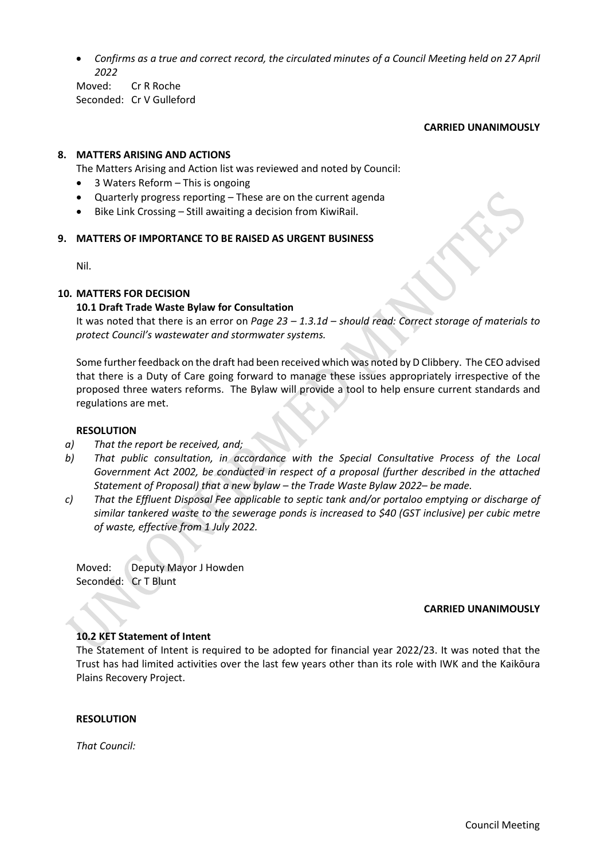• *Confirms as a true and correct record, the circulated minutes of a Council Meeting held on 27 April 2022*

Moved: Cr R Roche Seconded: Cr V Gulleford

## **CARRIED UNANIMOUSLY**

# **8. MATTERS ARISING AND ACTIONS**

The Matters Arising and Action list was reviewed and noted by Council:

- 3 Waters Reform This is ongoing
- Quarterly progress reporting These are on the current agenda
- Bike Link Crossing Still awaiting a decision from KiwiRail.

## **9. MATTERS OF IMPORTANCE TO BE RAISED AS URGENT BUSINESS**

Nil.

## **10. MATTERS FOR DECISION**

## **10.1 Draft Trade Waste Bylaw for Consultation**

It was noted that there is an error on *Page 23 – 1.3.1d – should read: Correct storage of materials to protect Council's wastewater and stormwater systems.*

Some further feedback on the draft had been received which was noted by D Clibbery. The CEO advised that there is a Duty of Care going forward to manage these issues appropriately irrespective of the proposed three waters reforms. The Bylaw will provide a tool to help ensure current standards and regulations are met.

## **RESOLUTION**

- *a) That the report be received, and;*
- *b) That public consultation, in accordance with the Special Consultative Process of the Local*  Government Act 2002, be conducted in respect of a proposal (further described in the attached *Statement of Proposal) that a new bylaw – the Trade Waste Bylaw 2022– be made.*
- *c) That the Effluent Disposal Fee applicable to septic tank and/or portaloo emptying or discharge of similar tankered waste to the sewerage ponds is increased to \$40 (GST inclusive) per cubic metre of waste, effective from 1 July 2022.*

Moved: Deputy Mayor J Howden Seconded: Cr T Blunt

## **CARRIED UNANIMOUSLY**

## **10.2 KET Statement of Intent**

The Statement of Intent is required to be adopted for financial year 2022/23. It was noted that the Trust has had limited activities over the last few years other than its role with IWK and the Kaikōura Plains Recovery Project.

## **RESOLUTION**

*That Council:*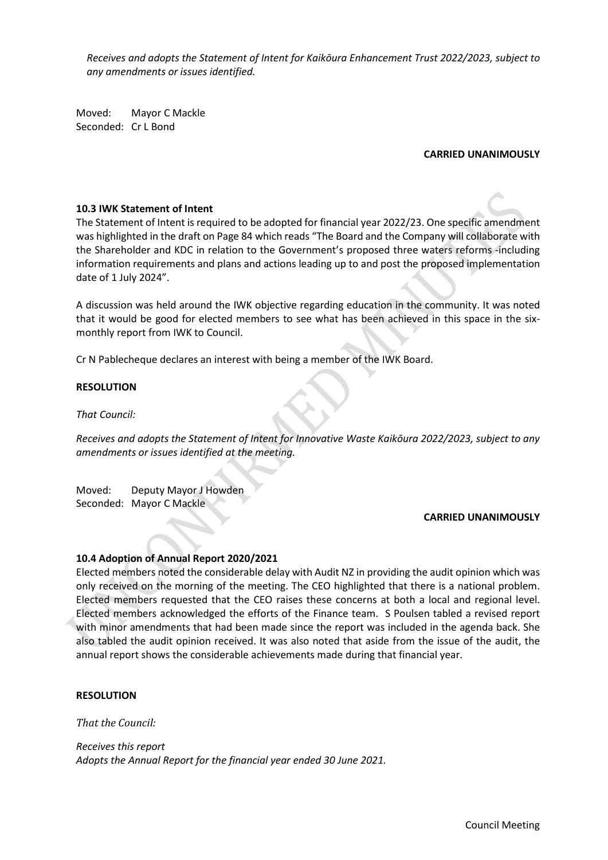*Receives and adopts the Statement of Intent for Kaikōura Enhancement Trust 2022/2023, subject to any amendments or issues identified.* 

Moved: Mayor C Mackle Seconded: Cr L Bond

# **CARRIED UNANIMOUSLY**

# **10.3 IWK Statement of Intent**

The Statement of Intent is required to be adopted for financial year 2022/23. One specific amendment was highlighted in the draft on Page 84 which reads "The Board and the Company will collaborate with the Shareholder and KDC in relation to the Government's proposed three waters reforms -including information requirements and plans and actions leading up to and post the proposed implementation date of 1 July 2024".

A discussion was held around the IWK objective regarding education in the community. It was noted that it would be good for elected members to see what has been achieved in this space in the sixmonthly report from IWK to Council.

Cr N Pablecheque declares an interest with being a member of the IWK Board.

## **RESOLUTION**

*That Council:*

*Receives and adopts the Statement of Intent for Innovative Waste Kaikōura 2022/2023, subject to any amendments or issues identified at the meeting.* 

Moved: Deputy Mayor J Howden Seconded: Mayor C Mackle

## **CARRIED UNANIMOUSLY**

## **10.4 Adoption of Annual Report 2020/2021**

Elected members noted the considerable delay with Audit NZ in providing the audit opinion which was only received on the morning of the meeting. The CEO highlighted that there is a national problem. Elected members requested that the CEO raises these concerns at both a local and regional level. Elected members acknowledged the efforts of the Finance team. S Poulsen tabled a revised report with minor amendments that had been made since the report was included in the agenda back. She also tabled the audit opinion received. It was also noted that aside from the issue of the audit, the annual report shows the considerable achievements made during that financial year.

## **RESOLUTION**

*That the Council:*

*Receives this report Adopts the Annual Report for the financial year ended 30 June 2021.*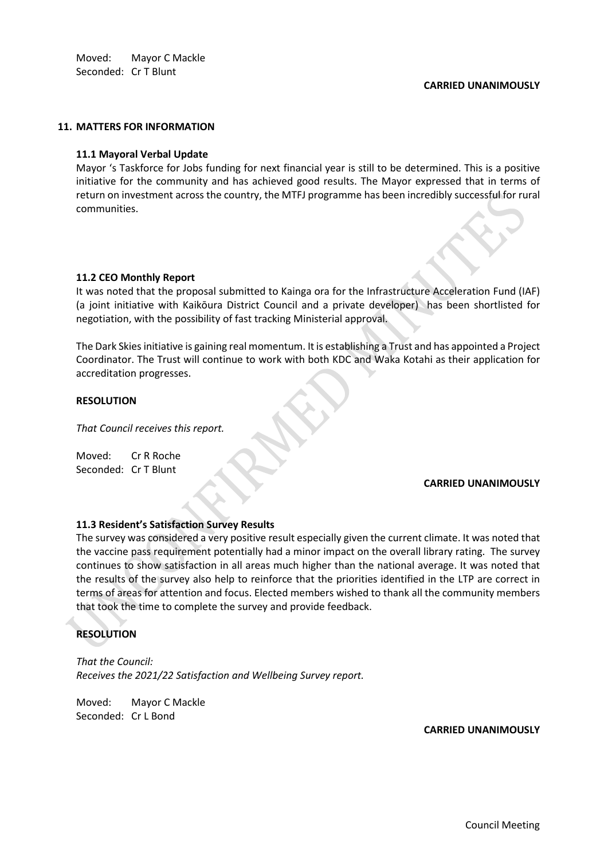Moved: Mayor C Mackle Seconded: Cr T Blunt

## **CARRIED UNANIMOUSLY**

#### **11. MATTERS FOR INFORMATION**

## **11.1 Mayoral Verbal Update**

Mayor 's Taskforce for Jobs funding for next financial year is still to be determined. This is a positive initiative for the community and has achieved good results. The Mayor expressed that in terms of return on investment across the country, the MTFJ programme has been incredibly successful for rural communities.

## **11.2 CEO Monthly Report**

It was noted that the proposal submitted to Kainga ora for the Infrastructure Acceleration Fund (IAF) (a joint initiative with Kaikōura District Council and a private developer) has been shortlisted for negotiation, with the possibility of fast tracking Ministerial approval.

The Dark Skies initiative is gaining real momentum. It is establishing a Trust and has appointed a Project Coordinator. The Trust will continue to work with both KDC and Waka Kotahi as their application for accreditation progresses.

## **RESOLUTION**

*That Council receives this report.*

Moved: Cr R Roche Seconded: Cr T Blunt

#### **CARRIED UNANIMOUSLY**

## **11.3 Resident's Satisfaction Survey Results**

The survey was considered a very positive result especially given the current climate. It was noted that the vaccine pass requirement potentially had a minor impact on the overall library rating. The survey continues to show satisfaction in all areas much higher than the national average. It was noted that the results of the survey also help to reinforce that the priorities identified in the LTP are correct in terms of areas for attention and focus. Elected members wished to thank all the community members that took the time to complete the survey and provide feedback.

# **RESOLUTION**

*That the Council: Receives the 2021/22 Satisfaction and Wellbeing Survey report.*

Moved: Mayor C Mackle Seconded: Cr L Bond

**CARRIED UNANIMOUSLY**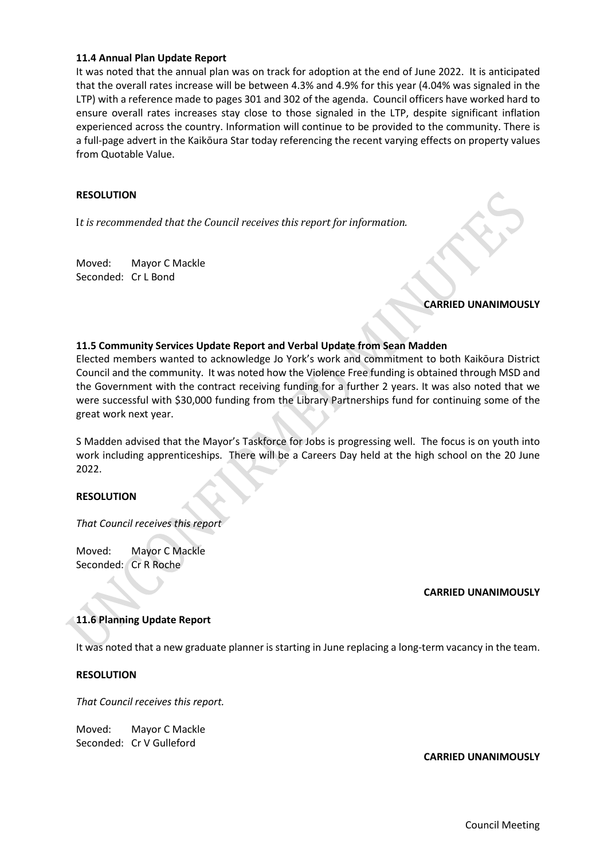# **11.4 Annual Plan Update Report**

It was noted that the annual plan was on track for adoption at the end of June 2022. It is anticipated that the overall rates increase will be between 4.3% and 4.9% for this year (4.04% was signaled in the LTP) with a reference made to pages 301 and 302 of the agenda. Council officers have worked hard to ensure overall rates increases stay close to those signaled in the LTP, despite significant inflation experienced across the country. Information will continue to be provided to the community. There is a full-page advert in the Kaikōura Star today referencing the recent varying effects on property values from Quotable Value.

## **RESOLUTION**

I*t is recommended that the Council receives this report for information.*

Moved: Mayor C Mackle Seconded: Cr L Bond

## **CARRIED UNANIMOUSLY**

## **11.5 Community Services Update Report and Verbal Update from Sean Madden**

Elected members wanted to acknowledge Jo York's work and commitment to both Kaikōura District Council and the community. It was noted how the Violence Free funding is obtained through MSD and the Government with the contract receiving funding for a further 2 years. It was also noted that we were successful with \$30,000 funding from the Library Partnerships fund for continuing some of the great work next year.

S Madden advised that the Mayor's Taskforce for Jobs is progressing well. The focus is on youth into work including apprenticeships. There will be a Careers Day held at the high school on the 20 June 2022.

# **RESOLUTION**

*That Council receives this report*

Moved: Mayor C Mackle Seconded: Cr R Roche

## **CARRIED UNANIMOUSLY**

# **11.6 Planning Update Report**

It was noted that a new graduate planner is starting in June replacing a long-term vacancy in the team.

## **RESOLUTION**

*That Council receives this report.* 

Moved: Mayor C Mackle Seconded: Cr V Gulleford

## **CARRIED UNANIMOUSLY**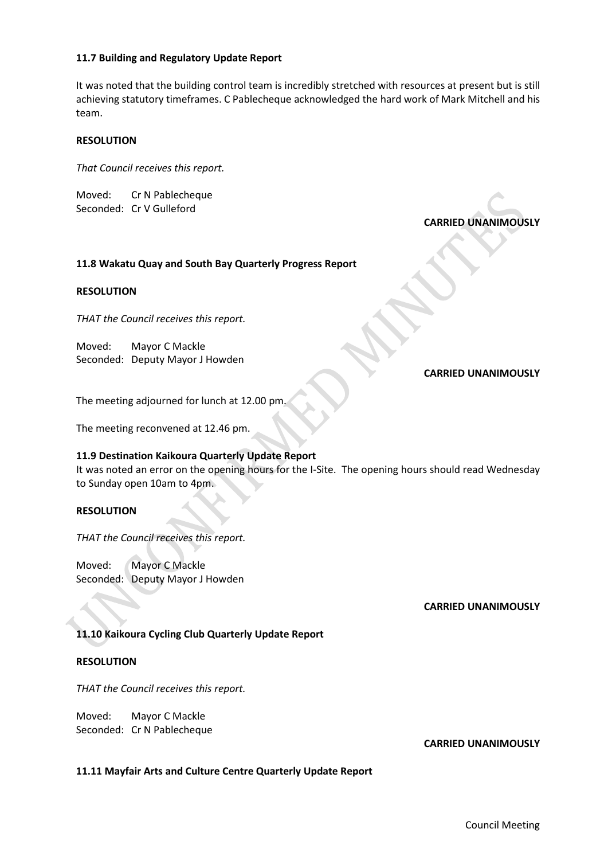# **11.7 Building and Regulatory Update Report**

It was noted that the building control team is incredibly stretched with resources at present but is still achieving statutory timeframes. C Pablecheque acknowledged the hard work of Mark Mitchell and his team.

## **RESOLUTION**

*That Council receives this report.* 

Moved: Cr N Pablecheque Seconded: Cr V Gulleford

**CARRIED UNANIMOUSLY**

# **11.8 Wakatu Quay and South Bay Quarterly Progress Report**

## **RESOLUTION**

*THAT the Council receives this report.*

Moved: Mayor C Mackle Seconded: Deputy Mayor J Howden

## **CARRIED UNANIMOUSLY**

The meeting adjourned for lunch at 12.00 pm.

The meeting reconvened at 12.46 pm.

# **11.9 Destination Kaikoura Quarterly Update Report**

It was noted an error on the opening hours for the I-Site. The opening hours should read Wednesday to Sunday open 10am to 4pm.

# **RESOLUTION**

*THAT the Council receives this report.*

Moved: Mayor C Mackle Seconded: Deputy Mayor J Howden

## **CARRIED UNANIMOUSLY**

# **11.10 Kaikoura Cycling Club Quarterly Update Report**

## **RESOLUTION**

*THAT the Council receives this report.*

Moved: Mayor C Mackle Seconded: Cr N Pablecheque

## **CARRIED UNANIMOUSLY**

## **11.11 Mayfair Arts and Culture Centre Quarterly Update Report**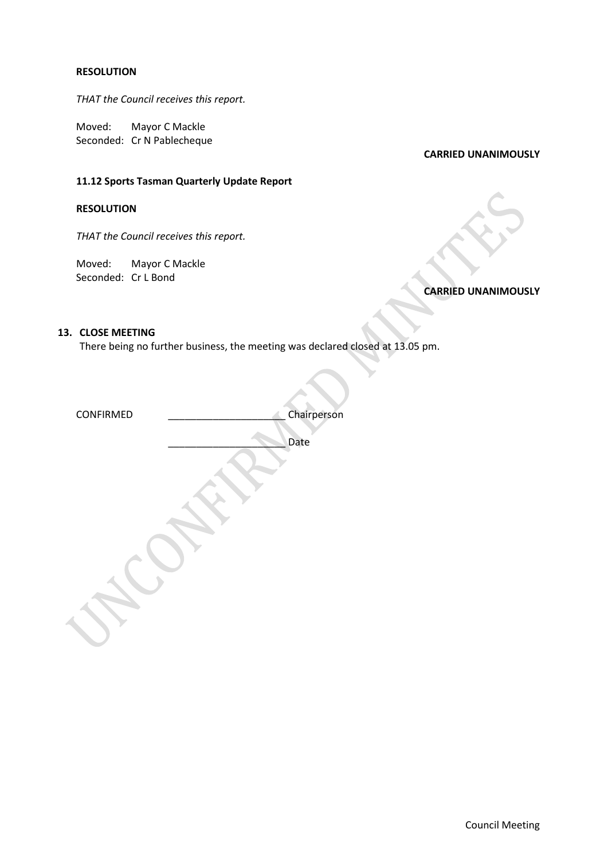# **RESOLUTION**

*THAT the Council receives this report.*

Moved: Mayor C Mackle Seconded: Cr N Pablecheque

## **CARRIED UNANIMOUSLY**

# **11.12 Sports Tasman Quarterly Update Report**

# **RESOLUTION**

*THAT the Council receives this report.*

Moved: Mayor C Mackle Seconded: Cr L Bond

# **CARRIED UNANIMOUSLY**

# **13. CLOSE MEETING**

There being no further business, the meeting was declared closed at 13.05 pm.

| CONFIRMED | Chairperson |
|-----------|-------------|
|           | Date        |
|           |             |
|           |             |
|           |             |
|           |             |